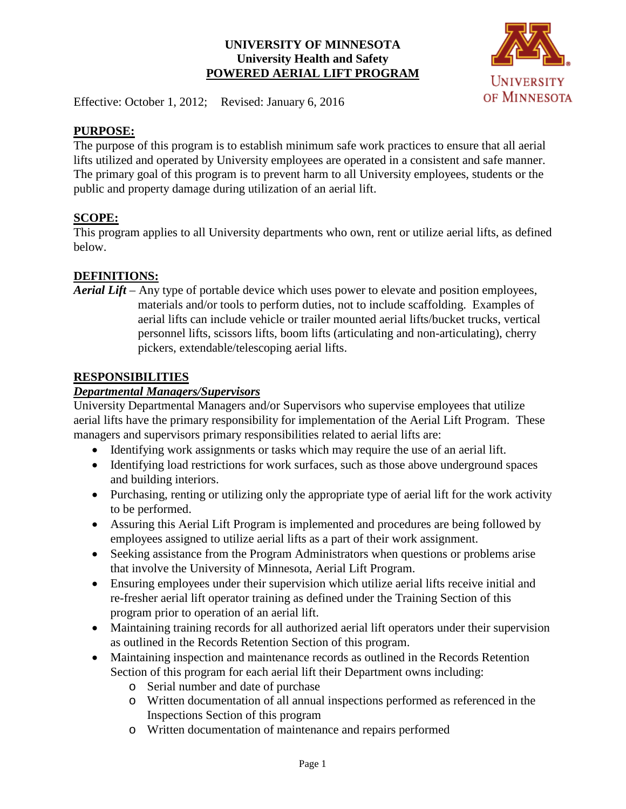#### **UNIVERSITY OF MINNESOTA University Health and Safety POWERED AERIAL LIFT PROGRAM**



Effective: October 1, 2012; Revised: January 6, 2016

#### **PURPOSE:**

The purpose of this program is to establish minimum safe work practices to ensure that all aerial lifts utilized and operated by University employees are operated in a consistent and safe manner. The primary goal of this program is to prevent harm to all University employees, students or the public and property damage during utilization of an aerial lift.

#### **SCOPE:**

This program applies to all University departments who own, rent or utilize aerial lifts, as defined below.

#### **DEFINITIONS:**

*Aerial Lift* – Any type of portable device which uses power to elevate and position employees, materials and/or tools to perform duties, not to include scaffolding. Examples of aerial lifts can include vehicle or trailer mounted aerial lifts/bucket trucks, vertical personnel lifts, scissors lifts, boom lifts (articulating and non-articulating), cherry pickers, extendable/telescoping aerial lifts.

#### **RESPONSIBILITIES**

#### *Departmental Managers/Supervisors*

University Departmental Managers and/or Supervisors who supervise employees that utilize aerial lifts have the primary responsibility for implementation of the Aerial Lift Program. These managers and supervisors primary responsibilities related to aerial lifts are:

- Identifying work assignments or tasks which may require the use of an aerial lift.
- Identifying load restrictions for work surfaces, such as those above underground spaces and building interiors.
- Purchasing, renting or utilizing only the appropriate type of aerial lift for the work activity to be performed.
- Assuring this Aerial Lift Program is implemented and procedures are being followed by employees assigned to utilize aerial lifts as a part of their work assignment.
- Seeking assistance from the Program Administrators when questions or problems arise that involve the University of Minnesota, Aerial Lift Program.
- Ensuring employees under their supervision which utilize aerial lifts receive initial and re-fresher aerial lift operator training as defined under the Training Section of this program prior to operation of an aerial lift.
- Maintaining training records for all authorized aerial lift operators under their supervision as outlined in the Records Retention Section of this program.
- Maintaining inspection and maintenance records as outlined in the Records Retention Section of this program for each aerial lift their Department owns including:
	- o Serial number and date of purchase
	- o Written documentation of all annual inspections performed as referenced in the Inspections Section of this program
	- o Written documentation of maintenance and repairs performed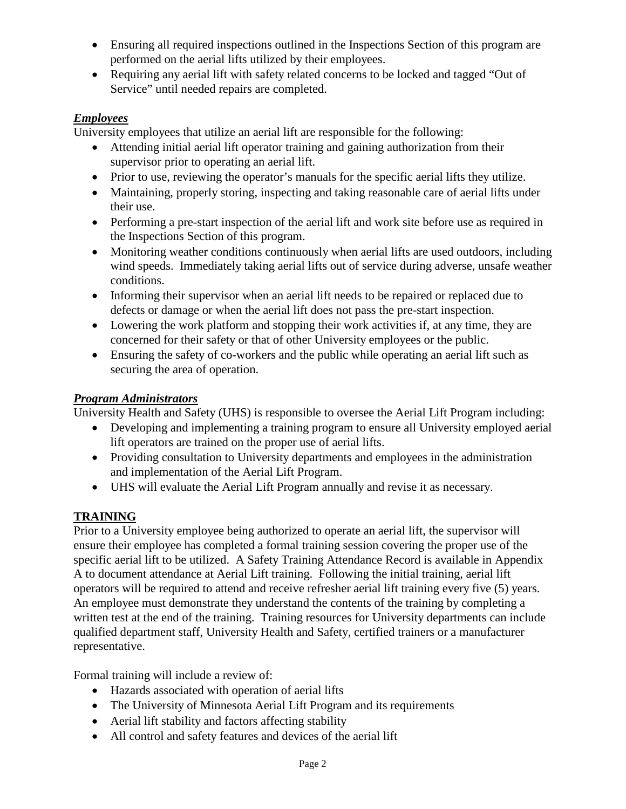- Ensuring all required inspections outlined in the Inspections Section of this program are performed on the aerial lifts utilized by their employees.
- Requiring any aerial lift with safety related concerns to be locked and tagged "Out of Service" until needed repairs are completed.

#### *Employees*

University employees that utilize an aerial lift are responsible for the following:

- Attending initial aerial lift operator training and gaining authorization from their supervisor prior to operating an aerial lift.
- Prior to use, reviewing the operator's manuals for the specific aerial lifts they utilize.
- Maintaining, properly storing, inspecting and taking reasonable care of aerial lifts under their use.
- Performing a pre-start inspection of the aerial lift and work site before use as required in the Inspections Section of this program.
- Monitoring weather conditions continuously when aerial lifts are used outdoors, including wind speeds. Immediately taking aerial lifts out of service during adverse, unsafe weather conditions.
- Informing their supervisor when an aerial lift needs to be repaired or replaced due to defects or damage or when the aerial lift does not pass the pre-start inspection.
- Lowering the work platform and stopping their work activities if, at any time, they are concerned for their safety or that of other University employees or the public.
- Ensuring the safety of co-workers and the public while operating an aerial lift such as securing the area of operation.

### *Program Administrators*

University Health and Safety (UHS) is responsible to oversee the Aerial Lift Program including:

- Developing and implementing a training program to ensure all University employed aerial lift operators are trained on the proper use of aerial lifts.
- Providing consultation to University departments and employees in the administration and implementation of the Aerial Lift Program.
- UHS will evaluate the Aerial Lift Program annually and revise it as necessary.

## **TRAINING**

Prior to a University employee being authorized to operate an aerial lift, the supervisor will ensure their employee has completed a formal training session covering the proper use of the specific aerial lift to be utilized. A Safety Training Attendance Record is available in Appendix A to document attendance at Aerial Lift training. Following the initial training, aerial lift operators will be required to attend and receive refresher aerial lift training every five (5) years. An employee must demonstrate they understand the contents of the training by completing a written test at the end of the training. Training resources for University departments can include qualified department staff, University Health and Safety, certified trainers or a manufacturer representative.

Formal training will include a review of:

- Hazards associated with operation of aerial lifts
- The University of Minnesota Aerial Lift Program and its requirements
- Aerial lift stability and factors affecting stability
- All control and safety features and devices of the aerial lift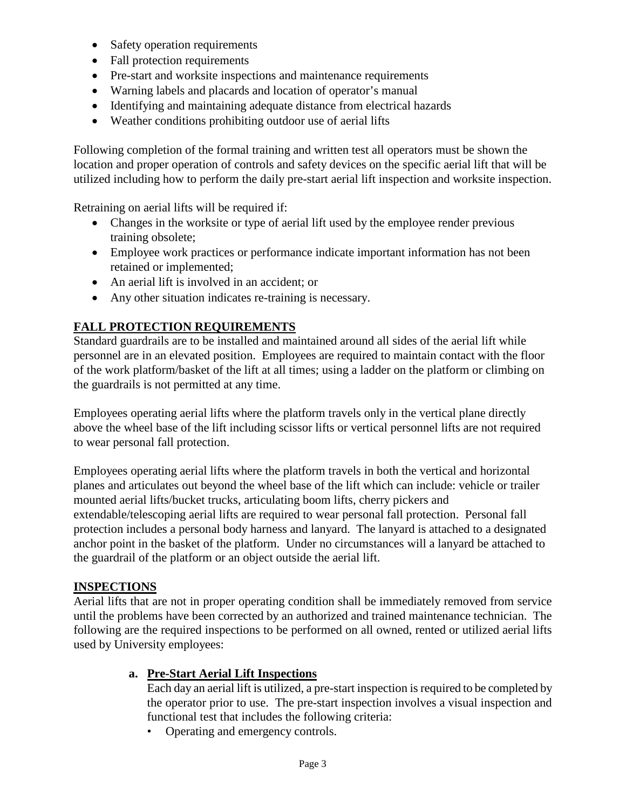- Safety operation requirements
- Fall protection requirements
- Pre-start and worksite inspections and maintenance requirements
- Warning labels and placards and location of operator's manual
- Identifying and maintaining adequate distance from electrical hazards
- Weather conditions prohibiting outdoor use of aerial lifts

Following completion of the formal training and written test all operators must be shown the location and proper operation of controls and safety devices on the specific aerial lift that will be utilized including how to perform the daily pre-start aerial lift inspection and worksite inspection.

Retraining on aerial lifts will be required if:

- Changes in the worksite or type of aerial lift used by the employee render previous training obsolete;
- Employee work practices or performance indicate important information has not been retained or implemented;
- An aerial lift is involved in an accident; or
- Any other situation indicates re-training is necessary.

#### **FALL PROTECTION REQUIREMENTS**

Standard guardrails are to be installed and maintained around all sides of the aerial lift while personnel are in an elevated position. Employees are required to maintain contact with the floor of the work platform/basket of the lift at all times; using a ladder on the platform or climbing on the guardrails is not permitted at any time.

Employees operating aerial lifts where the platform travels only in the vertical plane directly above the wheel base of the lift including scissor lifts or vertical personnel lifts are not required to wear personal fall protection.

Employees operating aerial lifts where the platform travels in both the vertical and horizontal planes and articulates out beyond the wheel base of the lift which can include: vehicle or trailer mounted aerial lifts/bucket trucks, articulating boom lifts, cherry pickers and extendable/telescoping aerial lifts are required to wear personal fall protection. Personal fall protection includes a personal body harness and lanyard. The lanyard is attached to a designated anchor point in the basket of the platform. Under no circumstances will a lanyard be attached to the guardrail of the platform or an object outside the aerial lift.

#### **INSPECTIONS**

Aerial lifts that are not in proper operating condition shall be immediately removed from service until the problems have been corrected by an authorized and trained maintenance technician. The following are the required inspections to be performed on all owned, rented or utilized aerial lifts used by University employees:

#### **a. Pre-Start Aerial Lift Inspections**

Each day an aerial lift is utilized, a pre-start inspection is required to be completed by the operator prior to use. The pre-start inspection involves a visual inspection and functional test that includes the following criteria:

• Operating and emergency controls.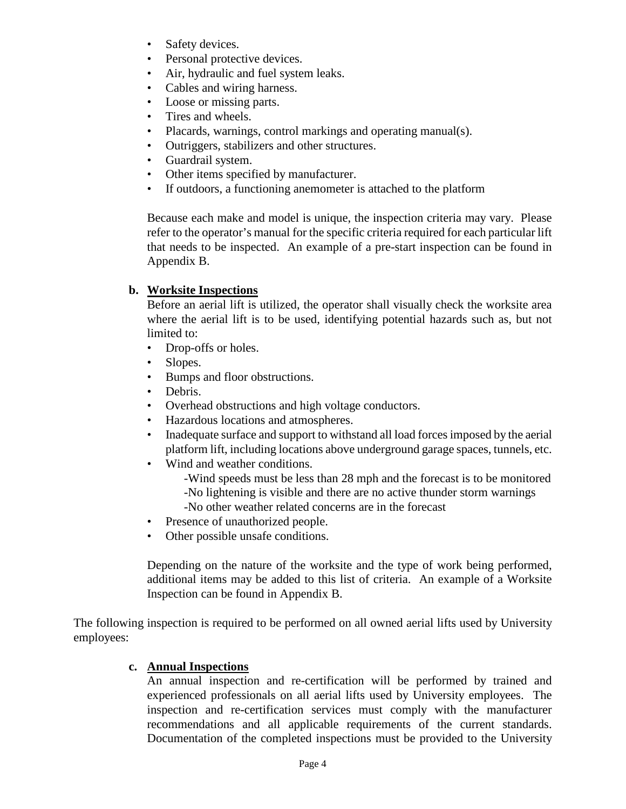- Safety devices.
- Personal protective devices.
- Air, hydraulic and fuel system leaks.
- Cables and wiring harness.
- Loose or missing parts.
- Tires and wheels.
- Placards, warnings, control markings and operating manual(s).
- Outriggers, stabilizers and other structures.
- Guardrail system.
- Other items specified by manufacturer.
- If outdoors, a functioning anemometer is attached to the platform

Because each make and model is unique, the inspection criteria may vary. Please refer to the operator's manual for the specific criteria required for each particular lift that needs to be inspected. An example of a pre-start inspection can be found in Appendix B.

#### **b. Worksite Inspections**

Before an aerial lift is utilized, the operator shall visually check the worksite area where the aerial lift is to be used, identifying potential hazards such as, but not limited to:

- Drop-offs or holes.
- Slopes.
- Bumps and floor obstructions.
- Debris.
- Overhead obstructions and high voltage conductors.
- Hazardous locations and atmospheres.
- Inadequate surface and support to withstand all load forces imposed by the aerial platform lift, including locations above underground garage spaces, tunnels, etc.
- Wind and weather conditions.
	- -Wind speeds must be less than 28 mph and the forecast is to be monitored -No lightening is visible and there are no active thunder storm warnings
	- -No other weather related concerns are in the forecast
- Presence of unauthorized people.
- Other possible unsafe conditions.

Depending on the nature of the worksite and the type of work being performed, additional items may be added to this list of criteria. An example of a Worksite Inspection can be found in Appendix B.

The following inspection is required to be performed on all owned aerial lifts used by University employees:

#### **c. Annual Inspections**

An annual inspection and re-certification will be performed by trained and experienced professionals on all aerial lifts used by University employees. The inspection and re-certification services must comply with the manufacturer recommendations and all applicable requirements of the current standards. Documentation of the completed inspections must be provided to the University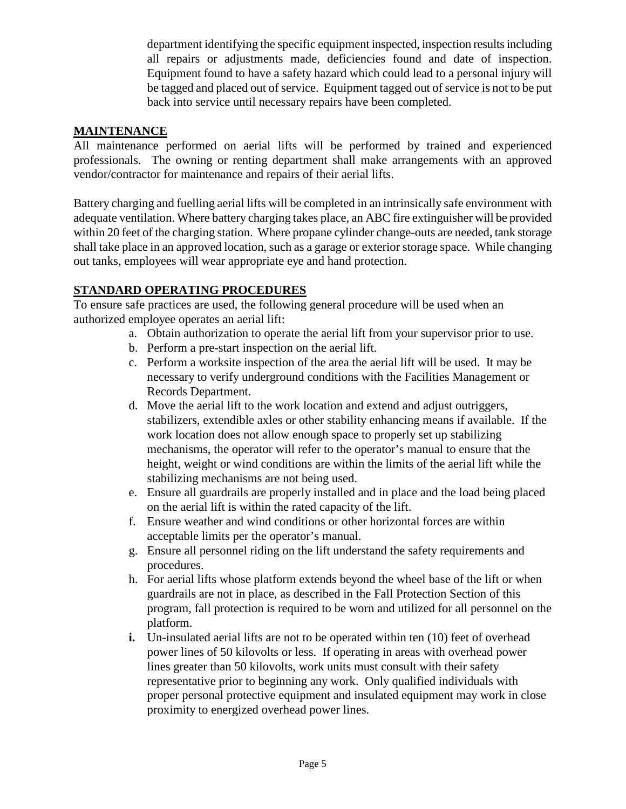department identifying the specific equipment inspected, inspection results including all repairs or adjustments made, deficiencies found and date of inspection. Equipment found to have a safety hazard which could lead to a personal injury will be tagged and placed out of service. Equipment tagged out of service is not to be put back into service until necessary repairs have been completed.

#### **MAINTENANCE**

All maintenance performed on aerial lifts will be performed by trained and experienced professionals. The owning or renting department shall make arrangements with an approved vendor/contractor for maintenance and repairs of their aerial lifts.

Battery charging and fuelling aerial lifts will be completed in an intrinsically safe environment with adequate ventilation. Where battery charging takes place, an ABC fire extinguisher will be provided within 20 feet of the charging station. Where propane cylinder change-outs are needed, tank storage shall take place in an approved location, such as a garage or exterior storage space. While changing out tanks, employees will wear appropriate eye and hand protection.

#### **STANDARD OPERATING PROCEDURES**

To ensure safe practices are used, the following general procedure will be used when an authorized employee operates an aerial lift:

- a. Obtain authorization to operate the aerial lift from your supervisor prior to use.
- b. Perform a pre-start inspection on the aerial lift.
- c. Perform a worksite inspection of the area the aerial lift will be used. It may be necessary to verify underground conditions with the Facilities Management or Records Department.
- d. Move the aerial lift to the work location and extend and adjust outriggers, stabilizers, extendible axles or other stability enhancing means if available. If the work location does not allow enough space to properly set up stabilizing mechanisms, the operator will refer to the operator's manual to ensure that the height, weight or wind conditions are within the limits of the aerial lift while the stabilizing mechanisms are not being used.
- e. Ensure all guardrails are properly installed and in place and the load being placed on the aerial lift is within the rated capacity of the lift.
- f. Ensure weather and wind conditions or other horizontal forces are within acceptable limits per the operator's manual.
- g. Ensure all personnel riding on the lift understand the safety requirements and procedures.
- h. For aerial lifts whose platform extends beyond the wheel base of the lift or when guardrails are not in place, as described in the Fall Protection Section of this program, fall protection is required to be worn and utilized for all personnel on the platform.
- **i.** Un-insulated aerial lifts are not to be operated within ten (10) feet of overhead power lines of 50 kilovolts or less. If operating in areas with overhead power lines greater than 50 kilovolts, work units must consult with their safety representative prior to beginning any work. Only qualified individuals with proper personal protective equipment and insulated equipment may work in close proximity to energized overhead power lines.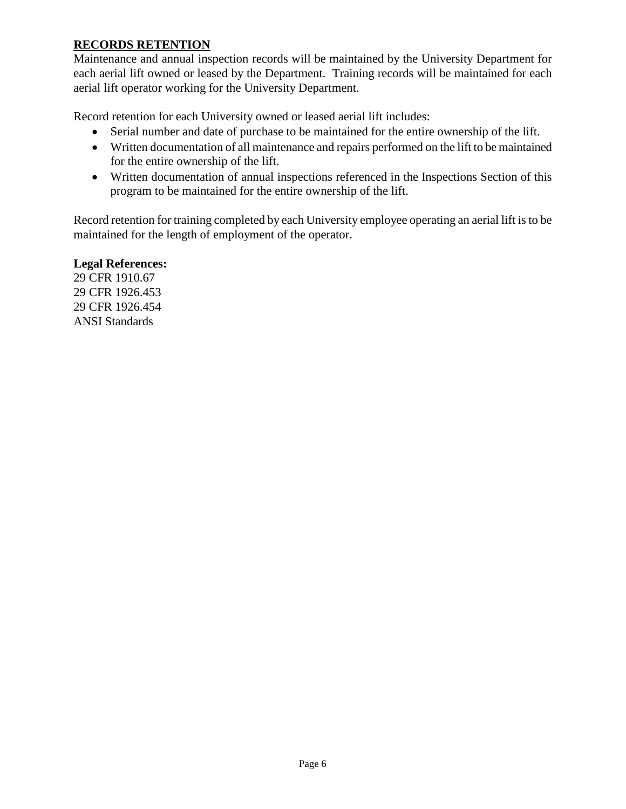#### **RECORDS RETENTION**

Maintenance and annual inspection records will be maintained by the University Department for each aerial lift owned or leased by the Department. Training records will be maintained for each aerial lift operator working for the University Department.

Record retention for each University owned or leased aerial lift includes:

- Serial number and date of purchase to be maintained for the entire ownership of the lift.
- Written documentation of all maintenance and repairs performed on the lift to be maintained for the entire ownership of the lift.
- Written documentation of annual inspections referenced in the Inspections Section of this program to be maintained for the entire ownership of the lift.

Record retention for training completed by each University employee operating an aerial lift is to be maintained for the length of employment of the operator.

#### **Legal References:**

29 CFR 1910.67 29 CFR 1926.453 29 CFR 1926.454 ANSI Standards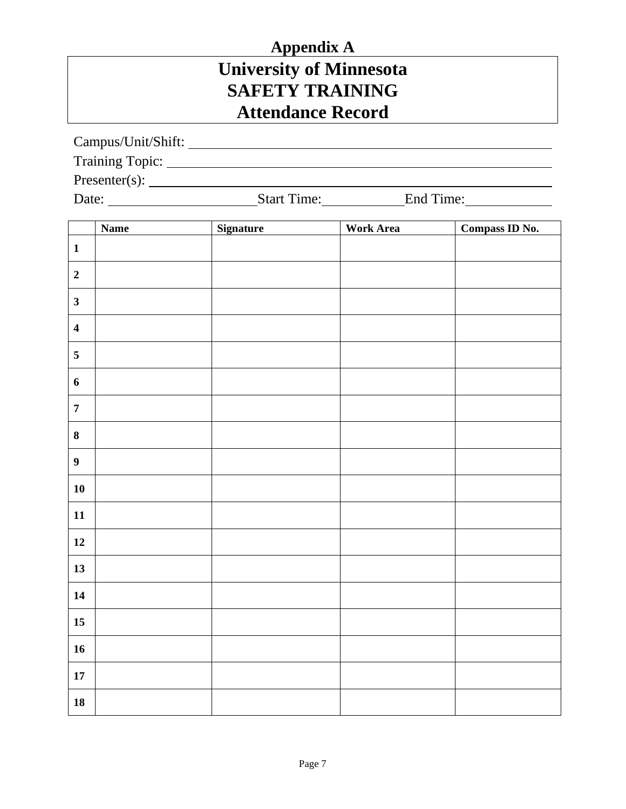# **Appendix A University of Minnesota SAFETY TRAINING Attendance Record**

Campus/Unit/Shift:

Training Topic:

Presenter(s):

Date: Start Time: End Time:

|                         | <b>Name</b> | Signature | <b>Work Area</b> | Compass ID No. |
|-------------------------|-------------|-----------|------------------|----------------|
| $\mathbf{1}$            |             |           |                  |                |
| $\mathbf 2$             |             |           |                  |                |
| $\overline{\mathbf{3}}$ |             |           |                  |                |
| $\overline{\mathbf{4}}$ |             |           |                  |                |
| $\overline{\mathbf{5}}$ |             |           |                  |                |
| $\boldsymbol{6}$        |             |           |                  |                |
| $\boldsymbol{7}$        |             |           |                  |                |
| $\bf{8}$                |             |           |                  |                |
| $\boldsymbol{9}$        |             |           |                  |                |
| ${\bf 10}$              |             |           |                  |                |
| ${\bf 11}$              |             |           |                  |                |
| $12$                    |             |           |                  |                |
| 13                      |             |           |                  |                |
| 14                      |             |           |                  |                |
| $15\,$                  |             |           |                  |                |
| 16                      |             |           |                  |                |
| ${\bf 17}$              |             |           |                  |                |
| ${\bf 18}$              |             |           |                  |                |